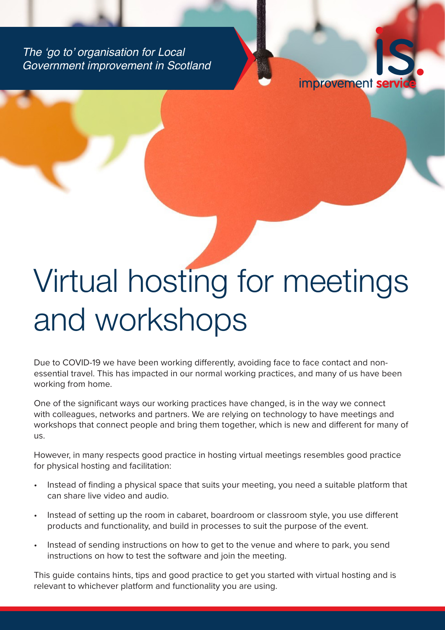The 'go to' organisation for Local Government improvement in Scotland



# Virtual hosting for meetings and workshops

Due to COVID-19 we have been working differently, avoiding face to face contact and nonessential travel. This has impacted in our normal working practices, and many of us have been working from home.

One of the significant ways our working practices have changed, is in the way we connect with colleagues, networks and partners. We are relying on technology to have meetings and workshops that connect people and bring them together, which is new and different for many of us.

However, in many respects good practice in hosting virtual meetings resembles good practice for physical hosting and facilitation:

- Instead of finding a physical space that suits your meeting, you need a suitable platform that can share live video and audio.
- Instead of setting up the room in cabaret, boardroom or classroom style, you use different products and functionality, and build in processes to suit the purpose of the event.
- Instead of sending instructions on how to get to the venue and where to park, you send instructions on how to test the software and join the meeting.

This guide contains hints, tips and good practice to get you started with virtual hosting and is relevant to whichever platform and functionality you are using.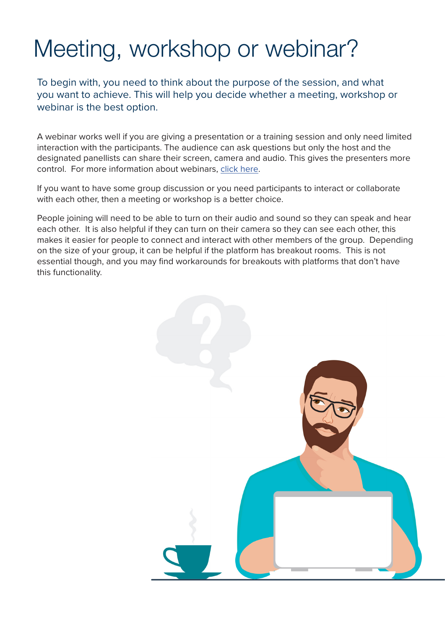### Meeting, workshop or webinar?

To begin with, you need to think about the purpose of the session, and what you want to achieve. This will help you decide whether a meeting, workshop or webinar is the best option.

A webinar works well if you are giving a presentation or a training session and only need limited interaction with the participants. The audience can ask questions but only the host and the designated panellists can share their screen, camera and audio. This gives the presenters more control. For more information about webinars, [click here.](https://www.improvementservice.org.uk/__data/assets/pdf_file/0019/17713/webinar-guide.pdf)

If you want to have some group discussion or you need participants to interact or collaborate with each other, then a meeting or workshop is a better choice.

People joining will need to be able to turn on their audio and sound so they can speak and hear each other. It is also helpful if they can turn on their camera so they can see each other, this makes it easier for people to connect and interact with other members of the group. Depending on the size of your group, it can be helpful if the platform has breakout rooms. This is not essential though, and you may find workarounds for breakouts with platforms that don't have this functionality.

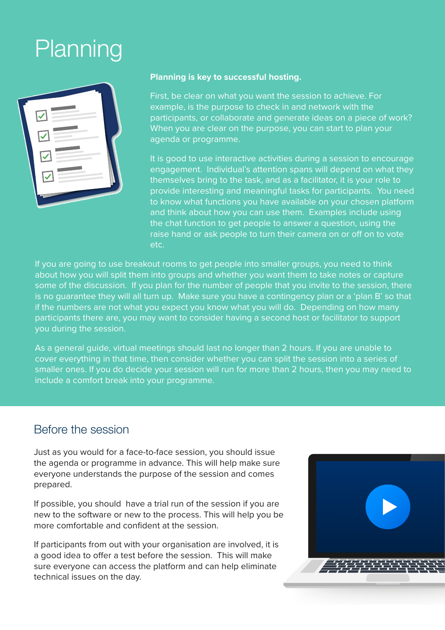### Planning

| $\sqrt{2}$                         |  |
|------------------------------------|--|
| $\triangle$                        |  |
| $\overline{\phantom{0}}$<br>$\sim$ |  |
| $\overline{\phantom{0}}$           |  |
|                                    |  |
|                                    |  |

#### **Planning is key to successful hosting.**

First, be clear on what you want the session to achieve. For example, is the purpose to check in and network with the participants, or collaborate and generate ideas on a piece of work? When you are clear on the purpose, you can start to plan your agenda or programme.

It is good to use interactive activities during a session to encourage engagement. Individual's attention spans will depend on what they themselves bring to the task, and as a facilitator, it is your role to provide interesting and meaningful tasks for participants. You need to know what functions you have available on your chosen platform and think about how you can use them. Examples include using the chat function to get people to answer a question, using the raise hand or ask people to turn their camera on or off on to vote etc.

If you are going to use breakout rooms to get people into smaller groups, you need to think about how you will split them into groups and whether you want them to take notes or capture some of the discussion. If you plan for the number of people that you invite to the session, there is no guarantee they will all turn up. Make sure you have a contingency plan or a 'plan B' so that if the numbers are not what you expect you know what you will do. Depending on how many participants there are, you may want to consider having a second host or facilitator to support you during the session.

As a general guide, virtual meetings should last no longer than 2 hours. If you are unable to cover everything in that time, then consider whether you can split the session into a series of smaller ones. If you do decide your session will run for more than 2 hours, then you may need to include a comfort break into your programme.

#### Before the session

Just as you would for a face-to-face session, you should issue the agenda or programme in advance. This will help make sure everyone understands the purpose of the session and comes prepared.

If possible, you should have a trial run of the session if you are new to the software or new to the process. This will help you be more comfortable and confident at the session.

If participants from out with your organisation are involved, it is a good idea to offer a test before the session. This will make sure everyone can access the platform and can help eliminate technical issues on the day.

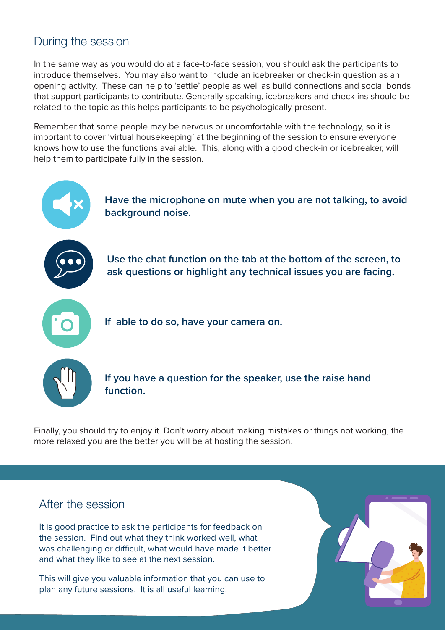### During the session

In the same way as you would do at a face-to-face session, you should ask the participants to introduce themselves. You may also want to include an icebreaker or check-in question as an opening activity. These can help to 'settle' people as well as build connections and social bonds that support participants to contribute. Generally speaking, icebreakers and check-ins should be related to the topic as this helps participants to be psychologically present.

Remember that some people may be nervous or uncomfortable with the technology, so it is important to cover 'virtual housekeeping' at the beginning of the session to ensure everyone knows how to use the functions available. This, along with a good check-in or icebreaker, will help them to participate fully in the session.



Finally, you should try to enjoy it. Don't worry about making mistakes or things not working, the more relaxed you are the better you will be at hosting the session.

#### After the session

It is good practice to ask the participants for feedback on the session. Find out what they think worked well, what was challenging or difficult, what would have made it better and what they like to see at the next session.

This will give you valuable information that you can use to plan any future sessions. It is all useful learning!